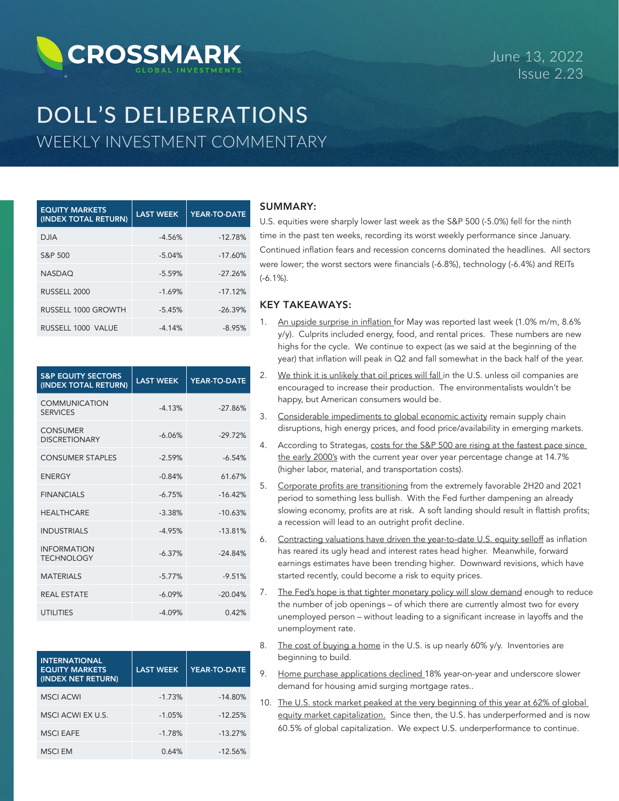# **CROSSMARK**

June 13, 2022 Issue 2.23

# DOLL'S DELIBERATIONS WEEKLY INVESTMENT COMMENTARY

| <b>EQUITY MARKETS</b><br>(INDEX TOTAL RETURN) | <b>LAST WEEK</b> | YEAR-TO-DATE |
|-----------------------------------------------|------------------|--------------|
| <b>DJIA</b>                                   | $-4.56%$         | $-12.78%$    |
| S&P 500                                       | $-5.04%$         | $-17.60%$    |
| <b>NASDAO</b>                                 | $-5.59%$         | $-27.26%$    |
| RUSSELL 2000                                  | $-1.69%$         | $-17.12%$    |
| RUSSELL 1000 GROWTH                           | $-5.45%$         | $-26.39%$    |
| RUSSELL 1000 VALUE                            | $-4.14%$         | $-8.95%$     |

| <b>S&amp;P EQUITY SECTORS</b><br>(INDEX TOTAL RETURN) | <b>LAST WEEK</b> | YEAR-TO-DATE |
|-------------------------------------------------------|------------------|--------------|
| <b>COMMUNICATION</b><br><b>SERVICES</b>               | $-4.13%$         | $-27.86%$    |
| <b>CONSUMER</b><br><b>DISCRETIONARY</b>               | $-6.06%$         | $-29.72%$    |
| <b>CONSUMER STAPLES</b>                               | $-2.59%$         | $-6.54%$     |
| <b>ENERGY</b>                                         | $-0.84%$         | 61.67%       |
| <b>FINANCIALS</b>                                     | $-6.75%$         | $-16.42%$    |
| <b>HFAITHCARF</b>                                     | $-3.38%$         | $-10.63%$    |
| <b>INDUSTRIALS</b>                                    | $-4.95%$         | $-13.81%$    |
| <b>INFORMATION</b><br><b>TECHNOLOGY</b>               | $-6.37%$         | $-24.84%$    |
| <b>MATFRIALS</b>                                      | $-5.77%$         | $-9.51%$     |
| <b>REAL ESTATE</b>                                    | $-6.09%$         | $-20.04%$    |
| <b>UTILITIES</b>                                      | $-4.09%$         | 0.42%        |

| <b>INTERNATIONAL</b><br><b>EQUITY MARKETS</b><br>(INDEX NET RETURN) | <b>LAST WEEK</b> | YEAR-TO-DATE |
|---------------------------------------------------------------------|------------------|--------------|
| <b>MSCI ACWI</b>                                                    | $-1.73%$         | $-14.80%$    |
| MSCI ACWI EX U.S.                                                   | $-1.05%$         | $-12.25%$    |
| <b>MSCI EAFE</b>                                                    | $-1.78%$         | $-13.27%$    |
| <b>MSCI EM</b>                                                      | 0.64%            | $-12.56%$    |

## SUMMARY:

U.S. equities were sharply lower last week as the S&P 500 (-5.0%) fell for the ninth time in the past ten weeks, recording its worst weekly performance since January. Continued inflation fears and recession concerns dominated the headlines. All sectors were lower; the worst sectors were financials (-6.8%), technology (-6.4%) and REITs (-6.1%).

#### KEY TAKEAWAYS:

- 1. An upside surprise in inflation for May was reported last week (1.0% m/m, 8.6% y/y). Culprits included energy, food, and rental prices. These numbers are new highs for the cycle. We continue to expect (as we said at the beginning of the year) that inflation will peak in Q2 and fall somewhat in the back half of the year.
- 2. We think it is unlikely that oil prices will fall in the U.S. unless oil companies are encouraged to increase their production. The environmentalists wouldn't be happy, but American consumers would be.
- 3. Considerable impediments to global economic activity remain supply chain disruptions, high energy prices, and food price/availability in emerging markets.
- 4. According to Strategas, costs for the S&P 500 are rising at the fastest pace since the early 2000's with the current year over year percentage change at 14.7% (higher labor, material, and transportation costs).
- 5. Corporate profits are transitioning from the extremely favorable 2H20 and 2021 period to something less bullish. With the Fed further dampening an already slowing economy, profits are at risk. A soft landing should result in flattish profits; a recession will lead to an outright profit decline.
- 6. Contracting valuations have driven the year-to-date U.S. equity selloff as inflation has reared its ugly head and interest rates head higher. Meanwhile, forward earnings estimates have been trending higher. Downward revisions, which have started recently, could become a risk to equity prices.
- 7. The Fed's hope is that tighter monetary policy will slow demand enough to reduce the number of job openings – of which there are currently almost two for every unemployed person – without leading to a significant increase in layoffs and the unemployment rate.
- 8. The cost of buying a home in the U.S. is up nearly 60% y/y. Inventories are beginning to build.
- 9. Home purchase applications declined 18% year-on-year and underscore slower demand for housing amid surging mortgage rates..
- 10. The U.S. stock market peaked at the very beginning of this year at 62% of global equity market capitalization. Since then, the U.S. has underperformed and is now 60.5% of global capitalization. We expect U.S. underperformance to continue.